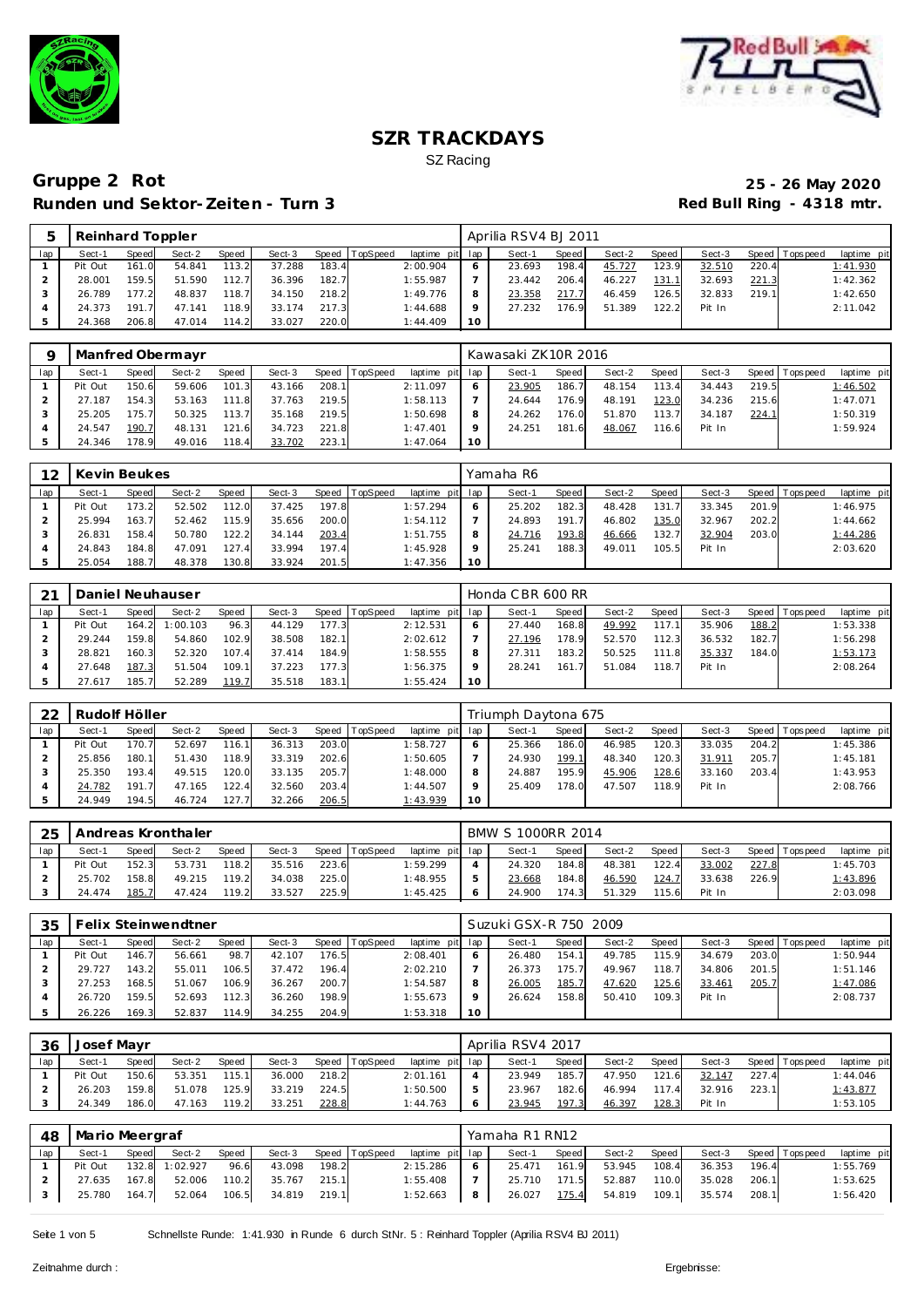



|     | Reinhard Toppler |       |        |       |        |       |                |                 |    | Aprilia RSV4 BJ 2011 |         |        |       |        |       |                 |             |
|-----|------------------|-------|--------|-------|--------|-------|----------------|-----------------|----|----------------------|---------|--------|-------|--------|-------|-----------------|-------------|
| lap | Sect-1           | Speed | Sect-2 | Speed | Sect-3 |       | Speed TopSpeed | laptime pit lap |    | Sect-1               | Speed I | Sect-2 | Speed | Sect-3 |       | Speed Tops peed | laptime pit |
|     | Pit Out          | 161.0 | 54.841 | 113.2 | 37.288 | 183.4 |                | 2:00.904        |    | 23.693               | 198.4   | 45.727 | 123.9 | 32.510 | 220.4 |                 | 1:41.930    |
|     | 28.001           | 159.5 | 51.590 | 112.7 | 36.396 | 182.7 |                | 1:55.987        |    | 23.442               | 206.4   | 46.227 | 131.  | 32.693 | 221.3 |                 | 1:42.362    |
|     | 26.789           | 177.2 | 48.837 | 118.7 | 34.150 | 218.2 |                | 1:49.776        |    | 23.358               | 217.7   | 46.459 | 126.5 | 32.833 | 219.1 |                 | 1:42.650    |
|     | 24.373           | 191.7 | 47.141 | 118.9 | 33.174 | 217.3 |                | 1:44.688        |    | 27.232               | 176.9   | 51.389 | 122.2 | Pit In |       |                 | 2:11.042    |
|     | 24.368           | 206.8 | 47.014 | 114.2 | 33.027 | 220.0 |                | 1:44.409        | 10 |                      |         |        |       |        |       |                 |             |

|     |         |       | Manfred Obermayr |              |        |       |                 |                 |    | Kawasaki ZK10R 2016 |       |        |       |        |       |                   |             |
|-----|---------|-------|------------------|--------------|--------|-------|-----------------|-----------------|----|---------------------|-------|--------|-------|--------|-------|-------------------|-------------|
| lap | Sect-1  | Speed | Sect-2           | <b>Speed</b> | Sect-3 | Speed | <b>TopSpeed</b> | laptime pit lap |    | Sect-1              | Speed | Sect-2 | Speed | Sect-3 |       | Speed   Tops peed | laptime pit |
|     | Pit Out | 150.6 | 59.606           | 101.3        | 43.166 | 208.1 |                 | 2:11.097        |    | 23.905              | 186.7 | 48.154 | 13.4  | 34.443 | 219.5 |                   | 1:46.502    |
|     | 27.187  | 154.3 | 53.163           | 111.8        | 37.763 | 219.5 |                 | 1:58.113        |    | 24.644              | 176.9 | 48.191 | 123.0 | 34.236 | 215.6 |                   | 1:47.071    |
|     | 25.205  | 175.7 | 50.325           | 113.7        | 35.168 | 219.5 |                 | 1:50.698        |    | 24.262              | 176.0 | 51.870 | 13.7  | 34.187 | 224.1 |                   | 1:50.319    |
|     | 24.547  | 190.7 | 48.131           | 121.6        | 34.723 | 221.8 |                 | 1:47.401        |    | 24.251              | 181.6 | 48.067 | 116.6 | Pit In |       |                   | 1:59.924    |
|     | 24.346  | 178.9 | 49.016           | 118.4        | 33.702 | 223.1 |                 | 1:47.064        | 10 |                     |       |        |       |        |       |                   |             |

| 12  | Kevin Beukes |       |        |       |        |       |                |                 |            | Yamaha R6 |       |        |       |        |       |                 |             |
|-----|--------------|-------|--------|-------|--------|-------|----------------|-----------------|------------|-----------|-------|--------|-------|--------|-------|-----------------|-------------|
| lap | Sect-1       | Speed | Sect-2 | Speed | Sect-3 |       | Speed TopSpeed | laptime pit lap |            | Sect-1    | Speed | Sect-2 | Speed | Sect-3 |       | Speed Tops peed | laptime pit |
|     | Pit Out      | 173.2 | 52.502 | 112.0 | 37.425 | 197.8 |                | 1:57.294        | $\epsilon$ | 25.202    | 182.3 | 48.428 | 131   | 33.345 | 201.9 |                 | 1:46.975    |
|     | 25.994       | 163.7 | 52.462 | 115.9 | 35.656 | 200.0 |                | 1:54.112        |            | 24.893    | 191.7 | 46.802 | 135.0 | 32.967 | 202.2 |                 | 1:44.662    |
|     | 26.831       | 158.4 | 50.780 | 122.2 | 34.144 | 203.4 |                | 1:51.755        | 8          | 24.716    | 193.8 | 46.666 | 132.7 | 32.904 | 203.0 |                 | 1:44.286    |
|     | 24.843       | 184.8 | 47.091 | 127.4 | 33.994 | 197.4 |                | 1:45.928        | $\circ$    | 25.24     | 188.3 | 49.011 | 105.5 | Pit In |       |                 | 2:03.620    |
|     | 25.054       | 188.7 | 48.378 | 130.8 | 33.924 | 201.5 |                | 1:47.356        | 10         |           |       |        |       |        |       |                 |             |

| 21  |         |       | Daniel Neuhauser |       |        |       |                  |                 |    | Honda CBR 600 RR |       |        |       |        |       |                 |             |
|-----|---------|-------|------------------|-------|--------|-------|------------------|-----------------|----|------------------|-------|--------|-------|--------|-------|-----------------|-------------|
| lap | Sect-1  | Speed | Sect-2           | Speed | Sect-3 |       | Speed   TopSpeed | laptime pit lap |    | Sect-1           | Speed | Sect-2 | Speed | Sect-3 |       | Speed Tops peed | laptime pit |
|     | Pit Out | 164.2 | 1:00.103         | 96.3  | 44.129 | 177.3 |                  | 2:12.531        |    | 27.440           | 168.8 | 49.992 | 117.1 | 35.906 | 188.2 |                 | 1:53.338    |
|     | 29.244  | 159.8 | 54.860           | 102.9 | 38.508 | 182.1 |                  | 2:02.612        |    | 27.196           | 178.9 | 52.570 | 112.3 | 36.532 | 182.7 |                 | 1:56.298    |
|     | 28.821  | 160.3 | 52.320           | 107.4 | 37.414 | 184.9 |                  | 1:58.555        |    | 27.311           | 183.2 | 50.525 | 111.8 | 35.337 | 184.0 |                 | 1:53.173    |
|     | 27.648  | 187.3 | 51.504           | 109.1 | 37.223 | 177.3 |                  | 1:56.375        |    | 28.241           | 161.7 | 51.084 | 118.7 | Pit In |       |                 | 2:08.264    |
|     | 27.617  | 185.7 | 52.289           | 119.7 | 35.518 | 183.1 |                  | 1:55.424        | 10 |                  |       |        |       |        |       |                 |             |

| 22  | Rudolf Höller |       |        |              |        |       |                  |             |     | Triumph Daytona 675 |       |        |       |        |       |                 |             |
|-----|---------------|-------|--------|--------------|--------|-------|------------------|-------------|-----|---------------------|-------|--------|-------|--------|-------|-----------------|-------------|
| lap | Sect-1        | Speed | Sect-2 | <b>Speed</b> | Sect-3 |       | Speed   TopSpeed | laptime pit | lap | Sect-1              | Speed | Sect-2 | Speed | Sect-3 |       | Speed Tops peed | laptime pit |
|     | Pit Out       | 170.7 | 52.697 | 116.1        | 36.313 | 203.0 |                  | 1:58.727    | O   | 25.366              | 186.0 | 46.985 | 120.3 | 33.035 | 204.2 |                 | 1:45.386    |
|     | 25.856        | 180.1 | 51.430 | 118.9        | 33.319 | 202.6 |                  | 1:50.605    |     | 24.930              | 199.1 | 48.340 | 120.3 | 31.911 | 205.7 |                 | 1:45.181    |
|     | 25.350        | 193.4 | 49.515 | 120.0        | 33.135 | 205.7 |                  | 1:48.000    | 8   | 24.887              | 195.9 | 45.906 | 128.6 | 33.160 | 203.4 |                 | 1:43.953    |
|     | 24.782        | 191.7 | 47.165 | 122.4        | 32.560 | 203.4 |                  | 1:44.507    | o   | 25.409              | 178.0 | 47.507 | 118.9 | Pit In |       |                 | 2:08.766    |
|     | 24.949        | 194.5 | 46.724 | 127.7        | 32.266 | 206.5 |                  | 1:43.939    | 10  |                     |       |        |       |        |       |                 |             |

| 25  |         |       | Andreas Kronthaler |              |        |       |          |                 | BMW S 1000RR 2014 |              |        |       |        |       |                 |             |
|-----|---------|-------|--------------------|--------------|--------|-------|----------|-----------------|-------------------|--------------|--------|-------|--------|-------|-----------------|-------------|
| lap | Sect-1  | Speed | Sect-2             | <b>Speed</b> | Sect-3 | Speed | TopSpeed | laptime pit lap | Sect-1            | <b>Speed</b> | Sect-2 | Speed | Sect-3 |       | Speed Tops peed | laptime pit |
|     | Pit Out | 152.3 | 53.731             | 118.2        | 35.516 | 223.6 |          | 1:59.299        | 24.320            | 184.8        | 48.381 | 122.4 | 33.002 | 227.8 |                 | 1:45.703    |
|     | 25.702  | 158.8 | 49.215             | 119.2        | 34.038 | 225.0 |          | 1:48.955        | 23.668            | 184.8        | 46.590 | 124.7 | 33.638 | 226.9 |                 | 1:43.896    |
|     | 24.474  | 185.7 | 47.424             | 119.2        | 33.527 | 225.9 |          | 1:45.425        | 24.900            | 174.3        | 51.329 | 115.6 | Pit In |       |                 | 2:03.098    |

| 35  |         |       | Felix Steinwendtner |       |        |       |          |                 |         | Suzuki GSX-R 750 2009 |       |        |       |        |       |                 |             |
|-----|---------|-------|---------------------|-------|--------|-------|----------|-----------------|---------|-----------------------|-------|--------|-------|--------|-------|-----------------|-------------|
| lap | Sect-1  | Speed | Sect-2              | Speed | Sect-3 | Speed | TopSpeed | laptime pit lap |         | Sect-1                | Speed | Sect-2 | Speed | Sect-3 |       | Speed Tops peed | laptime pit |
|     | Pit Out | 146.7 | 56.661              | 98.7  | 42.107 | 176.5 |          | 2:08.401        |         | 26.480                | 154.1 | 49.785 | 115.9 | 34.679 | 203.0 |                 | 1:50.944    |
|     | 29.727  | 43.2  | 55.011              | 106.5 | 37.472 | 196.4 |          | 2:02.210        |         | 26.373                | 175.7 | 49.967 | 118.7 | 34.806 | 201.5 |                 | 1:51.146    |
|     | 27.253  | 168.5 | 51.067              | 106.9 | 36.267 | 200.7 |          | 1:54.587        | 8       | 26.005                | 185.7 | 47.620 | 125.6 | 33.461 | 205.7 |                 | 1:47.086    |
|     | 26.720  | 159.5 | 52.693              | 112.3 | 36.260 | 198.9 |          | 1:55.673        | $\circ$ | 26.624                | 158.8 | 50.410 | 109.3 | Pit In |       |                 | 2:08.737    |
|     | 26.226  | 169.3 | 52.837              | 114.9 | 34.255 | 204.9 |          | 1:53.318        | 10      |                       |       |        |       |        |       |                 |             |

| 36  | Josef Mayr |              |        |              |        |       |          |                 | Aprilia RSV4 2017 |       |        |       |        |       |                 |             |
|-----|------------|--------------|--------|--------------|--------|-------|----------|-----------------|-------------------|-------|--------|-------|--------|-------|-----------------|-------------|
| lap | Sect-1     | <b>Speed</b> | Sect-2 | <b>Speed</b> | Sect-3 | Speed | TopSpeed | laptime pit lap | Sect-1            | Speed | Sect-2 | Speed | Sect-3 |       | Speed Tops peed | laptime pit |
|     | Pit Out    | 150.6        | 53.351 | 115.1        | 36.000 | 218.2 |          | 2:01.161        | 23.949            | 185.7 | 47.950 | 121.6 | 32.147 | 227.4 |                 | 1:44.046    |
|     | 26.203     | 159.8        | 51.078 | 125.9        | 33.219 | 224.5 |          | 1:50.500        | 23.967            | 182.6 | 46.994 | 117.4 | 32.916 | 223.1 |                 | 1:43.877    |
|     | 24.349     | 186.0        | 47.163 | 119.2        | 33.251 | 228.8 |          | 1:44.763        | 23.945            | 197.3 | 46.397 | 128.3 | Pit In |       |                 | 1:53.105    |

| 48  | Mario Meergraf |       |          |       |        |       |                |                 |   | Yamaha R1 RN12 |       |        |       |        |       |                |             |
|-----|----------------|-------|----------|-------|--------|-------|----------------|-----------------|---|----------------|-------|--------|-------|--------|-------|----------------|-------------|
| lap | Sect-1         | Speed | Sect-2   | Speed | Sect-3 |       | Speed TopSpeed | laptime pit lap |   | Sect-1         | Speed | Sect-2 | Speed | Sect-3 |       | Speed Topspeed | laptime pit |
|     | Pit Out        | 132.8 | 1:02.927 | 96.6  | 43.098 | 198.2 |                | 2:15.286        |   | 25.471         | 161.9 | 53.945 | 108.4 | 36.353 | 196.4 |                | 1:55.769    |
|     | 27.635         | 167.8 | 52.006   | 110.2 | 35.767 | 215.1 |                | 1:55.408        |   | 25.710         | 171.5 | 52.887 | 110.0 | 35.028 | 206.1 |                | 1:53.625    |
|     | 25.780         | 164.7 | 52.064   | 106.5 | 34.819 | 219.1 |                | 1:52.663        | 8 | 26.027         | 175.4 | 54.819 | 109.1 | 35.574 | 208.1 |                | 1:56.420    |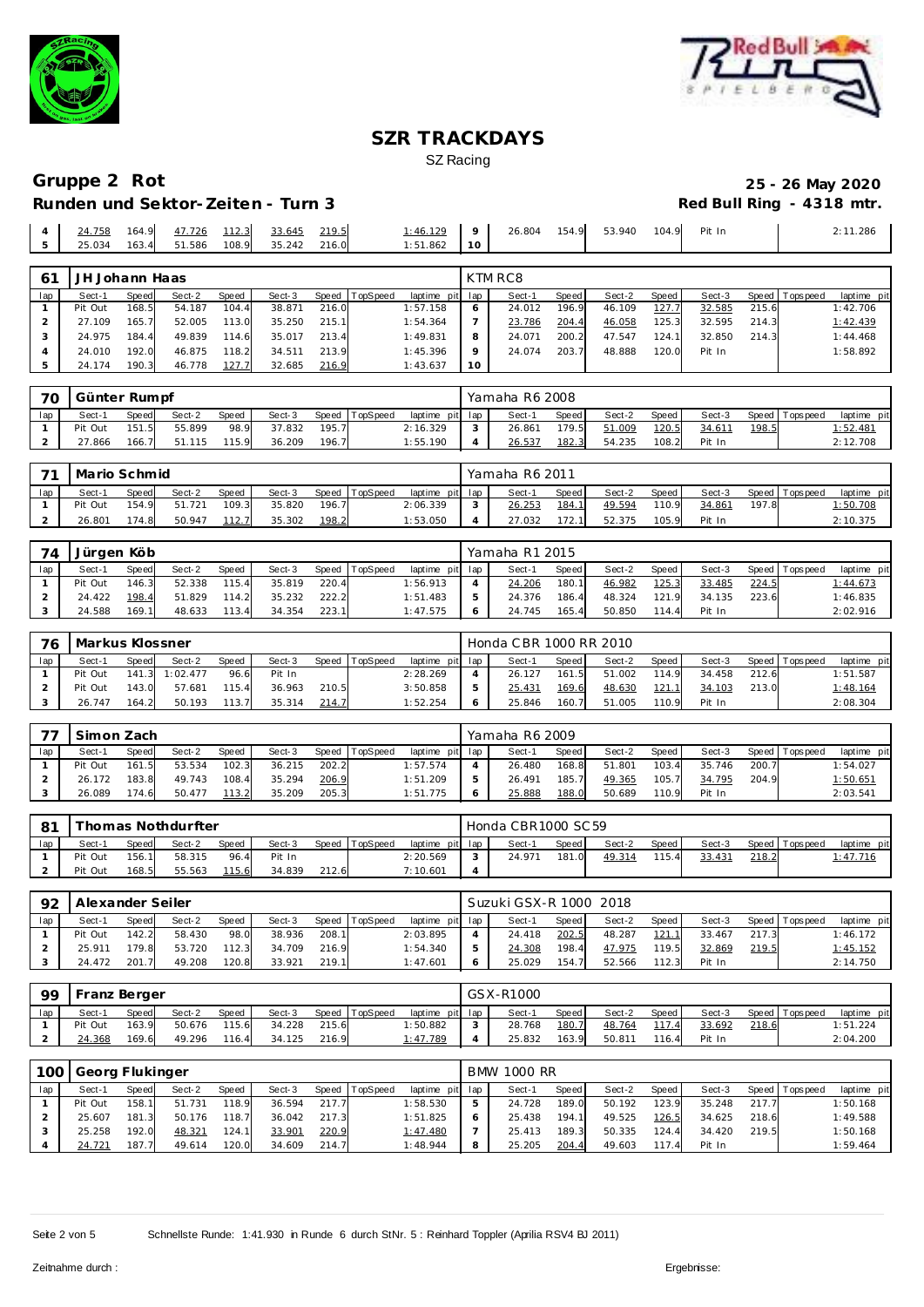



| 108.9<br>25.034<br>163.4<br>51.586<br>35.242 216.0<br>1:51.862<br>10 |
|----------------------------------------------------------------------|
|----------------------------------------------------------------------|

| 61  | JH Johann Haas |       |        |       |        |       |          |          |         | KTM RC8 |       |        |       |        |       |                   |             |
|-----|----------------|-------|--------|-------|--------|-------|----------|----------|---------|---------|-------|--------|-------|--------|-------|-------------------|-------------|
| lap | Sect-1         | Speed | Sect-2 | Speed | Sect-3 | Speed | TopSpeed | laptime  | pit lap | Sect-1  | Speed | Sect-2 | Speed | Sect-3 |       | Speed   Tops peed | laptime pit |
|     | Pit Out        | 168.5 | 54.187 | 104.4 | 38.871 | 216.0 |          | 1:57.158 | O       | 24.012  | 196.9 | 46.109 | 127.7 | 32.585 | 215.6 |                   | 1:42.706    |
|     | 27.109         | 165.7 | 52.005 | 113.0 | 35.250 | 215.1 |          | 1:54.364 |         | 23.786  | 204.4 | 46.058 | 125.3 | 32.595 | 214.3 |                   | 1:42.439    |
|     | 24.975         | 184.4 | 49.839 | 114.6 | 35.017 | 213.4 |          | 1:49.831 | 8       | 24.071  | 200.2 | 47.547 | 124.1 | 32.850 | 214.3 |                   | 1:44.468    |
|     | 24.010         | 192.0 | 46.875 | 118.2 | 34.511 | 213.9 |          | 1:45.396 | $\circ$ | 24.074  | 203.7 | 48.888 | 120.0 | Pit In |       |                   | 1:58.892    |
|     | 24.174         | 190.3 | 46.778 | 127.7 | 32.685 | 216.9 |          | 1:43.637 | 10      |         |       |        |       |        |       |                   |             |

| 70  | Günter Rumpf |       |        |       |        |       |          |          |         | Yamaha R6 2008 |       |        |       |        |       |                 |                 |
|-----|--------------|-------|--------|-------|--------|-------|----------|----------|---------|----------------|-------|--------|-------|--------|-------|-----------------|-----------------|
| lap | Sect-1       | Speed | Sect-2 | Speed | Sect-3 | Speed | TopSpeed | laptime  | pit lap | Sect-1         | Speed | Sect-2 | Speed | Sect-3 |       | Speed Tops peed | laptime pit     |
|     | Pit Out      | 151.5 | 55.899 | 98.9  | 37.832 | 195.7 |          | 2:16.329 |         | 26.861         | 179.5 | 51.009 | 120.5 | 34.611 | 198.5 |                 | <u>1:52.481</u> |
|     | 866.'        | 166.7 | 51.115 | 15.9  | 36.209 | 196.7 |          | 1:55.190 |         | 26.537         | 182.3 | 54.235 | 108.2 | Pit In |       |                 | 2:12.708        |

| 71  | Mario Schmid |              |        |              |        |       |                |                 | Yamaha R6 2011 |       |        |         |        |       |                 |             |
|-----|--------------|--------------|--------|--------------|--------|-------|----------------|-----------------|----------------|-------|--------|---------|--------|-------|-----------------|-------------|
| lap | Sect-1       | <b>Speed</b> | Sect-2 | <b>Speed</b> | Sect-3 |       | Speed TopSpeed | laptime pit lap | Sect-1         | Speed | Sect-2 | Speed I | Sect-3 |       | Speed Tops peed | laptime pit |
|     | Pit Out      | 154.9        | 51.721 | 109.3        | 35.820 | 196.7 |                | 2:06.339        | 26.253         | 184.  | 49.594 | 110.9   | 34.861 | 197.8 |                 | 1:50.708    |
|     | 26.801       | 174.8        | 50.947 | 112.7        | 35.302 | 198.2 |                | 1:53.050        | 27.032         | 172.  | 52.375 | 105.9   | Pit In |       |                 | 2:10.375    |

| 74  | Jürgen Köb |       |        |              |        |       |                |                 | Yamaha R1 2015 |       |        |         |        |       |                   |             |
|-----|------------|-------|--------|--------------|--------|-------|----------------|-----------------|----------------|-------|--------|---------|--------|-------|-------------------|-------------|
| lap | Sect-1     | Speed | Sect-2 | <b>Speed</b> | Sect-3 |       | Speed TopSpeed | laptime pit lap | Sect-1         | Speed | Sect-2 | Speed I | Sect-3 |       | Speed   Tops peed | laptime pit |
|     | Pit Out    | 146.3 | 52.338 | 115.4        | 35.819 | 220.4 |                | 1:56.913        | 24.206         | 180.1 | 46.982 | 125.3   | 33.485 | 224.5 |                   | 1:44.673    |
|     | 24.422     | 198.4 | 51.829 | 114.2        | 35.232 | 222.2 |                | 1:51.483        | 24.376         | 186.4 | 48.324 | 121.9   | 34.135 | 223.6 |                   | 1:46.835    |
|     | 24.588     | 169.1 | 48.633 | 113.4        | 34.354 | 223.1 |                | 1:47.575        | 24.745         | 165.4 | 50.850 | 114.4   | Pit In |       |                   | 2:02.916    |

| 76  | Markus Klossner |              |                |       |        |       |          |                 |   | Honda CBR 1000 RR 2010 |       |        |       |        |       |                   |                 |
|-----|-----------------|--------------|----------------|-------|--------|-------|----------|-----------------|---|------------------------|-------|--------|-------|--------|-------|-------------------|-----------------|
| lap | Sect-1          | <b>Speed</b> | Sect-2         | Speed | Sect-3 | Speed | TopSpeed | laptime pit lap |   | Sect-1                 | Speed | Sect-2 | Speed | Sect-3 |       | Speed   Tops peed | laptime pit     |
|     | Pit Out         |              | 141.3 1:02.477 | 96.6  | Pit In |       |          | 2:28.269        |   | 26.127                 | 161.5 | 51.002 | 114.9 | 34.458 | 212.6 |                   | 1:51.587        |
|     | Pit Out         | 143.0        | 57.681         | 115.4 | 36.963 | 210.5 |          | 3:50.858        | 5 | 25.431                 | 169.6 | 48.630 | 121.1 | 34.103 | 213.0 |                   | <u>1:48.164</u> |
|     | 26.747          | 164.2        | 50.193         | 113.7 | 35.314 | 214.7 |          | 1:52.254        | O | 25.846                 | 160.7 | 51.005 | 110.9 | Pit In |       |                   | 2:08.304        |

| $\overline{\phantom{a}}$ | Simon Zach |              |        |              |        |       |                 |                 | Yamaha R6 2009 |       |        |       |        |       |                 |                 |
|--------------------------|------------|--------------|--------|--------------|--------|-------|-----------------|-----------------|----------------|-------|--------|-------|--------|-------|-----------------|-----------------|
| lap                      | Sect-1     | <b>Speed</b> | Sect-2 | <b>Speed</b> | Sect-3 | Speed | <b>TopSpeed</b> | laptime pit lap | Sect-1         | Speed | Sect-2 | Speed | Sect-3 |       | Speed Tops peed | laptime pit     |
|                          | Pit Out    | 161.5        | 53.534 | 102.3        | 36.215 | 202.2 |                 | : 57.574        | 26.480         | 168.8 | 51.801 | 103.4 | 35.746 | 200.7 |                 | 1:54.027        |
|                          | 26.172     | 183.8        | 49.743 | 108.4        | 35.294 | 206.9 |                 | 1:51.209        | 26.491         | 185.7 | 49.365 | 105.7 | 34.795 | 204.9 |                 | <u>1:50.651</u> |
|                          | 26.089     | 174.6        | 50.477 | 113.2        | 35.209 | 205.3 |                 | 1:51.775        | 25.888         | 188.0 | 50.689 | 110.9 | Pit In |       |                 | 2:03.541        |

| $\Omega$ 1 |         |       | Thomas Nothdurfter |       |        |       |          |                 | Honda CBR1000 SC 59 |       |        |       |        |       |                |             |
|------------|---------|-------|--------------------|-------|--------|-------|----------|-----------------|---------------------|-------|--------|-------|--------|-------|----------------|-------------|
| lap        | Sect-1  | Speed | Sect-2             | Speed | Sect-3 | Speed | TopSpeed | laptime pit lap | Sect-1              | Speed | Sect-2 | Speed | Sect-3 |       | Speed Topspeed | laptime pit |
|            | Pit Out | 156.1 | 58.315             | 96.4  | Pit In |       |          | 2:20.569        | 24.971              | 181.U | 49.314 | 115.4 | 33.431 | 218.2 |                | 1:47.716    |
|            | Pit Out | 168.5 | 55.563             | 115.6 | 34.839 | 212.6 |          | 7:10.601        |                     |       |        |       |        |       |                |             |

| 92  | Alexander Seiler |       |        |       |        |       |          |                 |         | Suzuki GSX-R 1000 2018 |              |        |        |        |       |                   |             |
|-----|------------------|-------|--------|-------|--------|-------|----------|-----------------|---------|------------------------|--------------|--------|--------|--------|-------|-------------------|-------------|
| lap | Sect-1           | Speed | Sect-2 | Speed | Sect-3 | Speed | TopSpeed | laptime pit lap |         | Sect-1                 | <b>Speed</b> | Sect-2 | Speed  | Sect-3 |       | Speed   Tops peed | laptime pit |
|     | Pit Out          | 142.2 | 58.430 | 98.0  | 38.936 | 208.1 |          | 2:03.895        |         | 24.418                 | 202.5        | 48.287 | 121.11 | 33.467 | 217.3 |                   | 1:46.172    |
|     | 25.911           | 179.8 | 53.720 | 112.3 | 34.709 | 216.9 |          | 1:54.340        |         | 24.308                 | 198.41       | 47.975 | 119.5  | 32.869 | 219.5 |                   | 1:45.152    |
|     | 24.472           | 201.7 | 49.208 | 120.8 | 33.921 | 219.1 |          | 1:47.601        | $\circ$ | 25.029                 | 154.7        | 52.566 | 112.3  | Pit In |       |                   | 2:14.750    |

| <b>99</b> | Franz Berger |       |        |       |        |       |                |                 |   | GSX-R1000 |       |        |       |        |       |                   |             |
|-----------|--------------|-------|--------|-------|--------|-------|----------------|-----------------|---|-----------|-------|--------|-------|--------|-------|-------------------|-------------|
| lap       | Sect-1       | Speed | Sect-2 | Speed | Sect-3 |       | Speed TopSpeed | laptime pit lap |   | Sect-1    | Speed | Sect-2 | Speed | Sect-3 |       | Speed   Tops peed | laptime pit |
|           | Pit Out      | 163.9 | 50.676 | 115.6 | 34.228 | 215.6 |                | 1:50.882        |   | 28.768    | 180.7 | 48.764 | 117.4 | 33.692 | 218.6 |                   | 1:51.224    |
|           | 24.368       | 169.6 | 49.296 | 116.4 | 34.125 | 216.9 |                | <u>1:47.789</u> | 4 | 25.832    | 163.9 | 50.811 | 116.4 | Pit In |       |                   | 2:04.200    |

| 100 | Georg Flukinger |       |        |              |        |       |          |                 | <b>BMW 1000 RR</b> |       |        |                |        |       |                 |             |
|-----|-----------------|-------|--------|--------------|--------|-------|----------|-----------------|--------------------|-------|--------|----------------|--------|-------|-----------------|-------------|
| lap | Sect-1          | Speed | Sect-2 | <b>Speed</b> | Sect-3 | Speed | TopSpeed | laptime pit lap | Sect-1             | Speed | Sect-2 | Speed          | Sect-3 |       | Speed Tops peed | laptime pit |
|     | Pit Out         | 158.1 | 51.731 | 118.9        | 36.594 | 217.7 |          | 1:58.530        | 24.728             | 189.0 | 50.192 | 123.9          | 35.248 | 217.7 |                 | 1:50.168    |
|     | 25.607          | 181.3 | 50.176 | 118.7        | 36.042 | 217.3 |          | 1:51.825        | 25.438             | 194.1 | 49.525 | 126.5          | 34.625 | 218.6 |                 | 1:49.588    |
|     | 25.258          | 192.0 | 48.321 | 124.1        | 33.901 | 220.9 |          | 1:47.480        | 25.413             | 189.3 | 50.335 | 124.4          | 34.420 | 219.5 |                 | 1:50.168    |
|     | 24.721          | 187.7 | 49.614 | 120.0        | 34.609 | 214.7 |          | 1:48.944        | 25.205             | 204.4 | 49.603 | $\overline{A}$ | Pit In |       |                 | 1:59.464    |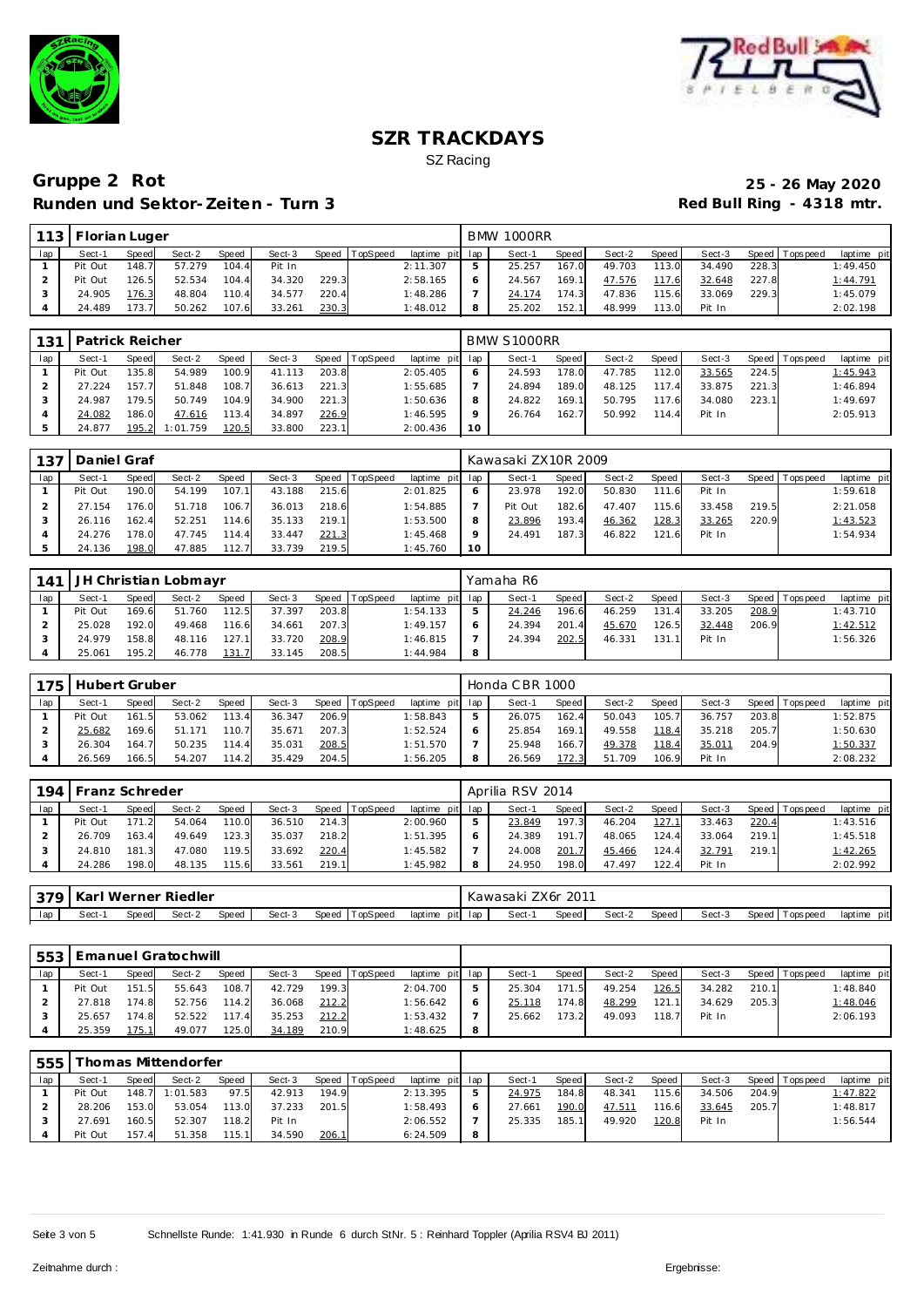



| 113 | , I Florian Luger |       |        |       |        |       |          |                 | <b>BMW 1000RR</b> |       |        |       |        |       |                |             |
|-----|-------------------|-------|--------|-------|--------|-------|----------|-----------------|-------------------|-------|--------|-------|--------|-------|----------------|-------------|
| lap | Sect-1            | Speed | Sect-2 | Speed | Sect-3 | Speed | TopSpeed | laptime pit lap | Sect-1            | Speed | Sect-2 | Speed | Sect-3 |       | Speed Topspeed | laptime pit |
|     | Pit Out           | 148.7 | 57.279 | 104.4 | Pit In |       |          | 2:11.307        | 25.257            | 167.0 | 49.703 | 113.0 | 34.490 | 228.3 |                | 1:49.450    |
|     | Pit Out           | 126.5 | 52.534 | 104.4 | 34.320 | 229.3 |          | 2:58.165        | 24.567            | 169.1 | 47.576 | 117.6 | 32.648 | 227.8 |                | 1:44.791    |
|     | 24.905            | 176.3 | 48.804 | 110.4 | 34.577 | 220.4 |          | 1:48.286        | 24.174            | 174.3 | 47.836 | 115.6 | 33.069 | 229.3 |                | 1:45.079    |
|     | 24.489            | 173.7 | 50.262 | 107.6 | 33.261 | 230.3 |          | 1:48.012        | 25.202            | 152.1 | 48.999 | 113.0 | Pit In |       |                | 2:02.198    |

| 131 | Patrick Reicher |       |          |       |        |       |                |                 |              | BMW S1000RR |         |        |         |        |       |                 |             |
|-----|-----------------|-------|----------|-------|--------|-------|----------------|-----------------|--------------|-------------|---------|--------|---------|--------|-------|-----------------|-------------|
| lap | Sect-1          | Speed | Sect-2   | Speed | Sect-3 |       | Speed TopSpeed | laptime pit lap |              | Sect-1      | Speed I | Sect-2 | Speed I | Sect-3 |       | Speed Tops peed | laptime pit |
|     | Pit Out         | 135.8 | 54.989   | 100.9 | 41.113 | 203.8 |                | 2:05.405        | <sub>o</sub> | 24.593      | 178.0   | 47.785 | 112.0   | 33.565 | 224.5 |                 | 1:45.943    |
|     | 27.224          | 157.7 | 51.848   | 108.7 | 36.613 | 221.3 |                | 1:55.685        |              | 24.894      | 189.0   | 48.125 | 117.4   | 33.875 | 221.3 |                 | 1:46.894    |
|     | 24.987          | 179.5 | 50.749   | 104.9 | 34.900 | 221.3 |                | 1:50.636        |              | 24.822      | 169.1   | 50.795 | 117.6   | 34.080 | 223.1 |                 | 1:49.697    |
|     | 24.082          | 186.0 | 47.616   | 113.4 | 34.897 | 226.9 |                | 1:46.595        |              | 26.764      | 162.7   | 50.992 | 114.4   | Pit In |       |                 | 2:05.913    |
|     | 24.877          | 195.2 | 1:01.759 | 120.5 | 33,800 | 223.1 |                | 2:00.436        | 10           |             |         |        |         |        |       |                 |             |

| 137 | Daniel Graf |       |        |       |        |       |                |                 |         | Kawasaki ZX10R 2009 |       |        |       |        |       |                 |             |
|-----|-------------|-------|--------|-------|--------|-------|----------------|-----------------|---------|---------------------|-------|--------|-------|--------|-------|-----------------|-------------|
| lap | Sect-1      | Speed | Sect-2 | Speed | Sect-3 |       | Speed TopSpeed | laptime pit lap |         | Sect-1              | Speed | Sect-2 | Speed | Sect-3 |       | Speed Tops peed | laptime pit |
|     | Pit Out     | 190.0 | 54.199 | 107.1 | 43.188 | 215.6 |                | 2:01.825        |         | 23.978              | 192.0 | 50.830 | 111.6 | Pit In |       |                 | 1:59.618    |
|     | 27.154      | 176.0 | 51.718 | 106.7 | 36.013 | 218.6 |                | 1:54.885        |         | Pit Out             | 182.6 | 47.407 | 115.6 | 33.458 | 219.5 |                 | 2:21.058    |
|     | 26.116      | 162.4 | 52.251 | 114.6 | 35.133 | 219.1 |                | 1:53.500        |         | 23.896              | 193.4 | 46.362 | 128.3 | 33.265 | 220.9 |                 | 1:43.523    |
|     | 24.276      | 178.0 | 47.745 | 114.4 | 33.447 | 221.3 |                | 1:45.468        | $\circ$ | 24.491              | 187.3 | 46.822 | 121.6 | Pit In |       |                 | 1:54.934    |
|     | 24.136      | 198.0 | 47.885 | 112.7 | 33.739 | 219.5 |                | 1:45.760        | 10      |                     |       |        |       |        |       |                 |             |

| 141 |         |       | JH Christian Lobmayr |       |        |       |                |                 |              | Yamaha R6 |       |        |       |        |       |                 |             |
|-----|---------|-------|----------------------|-------|--------|-------|----------------|-----------------|--------------|-----------|-------|--------|-------|--------|-------|-----------------|-------------|
| lap | Sect-1  | Speed | Sect-2               | Speed | Sect-3 |       | Speed TopSpeed | laptime pit lap |              | Sect-1    | Speed | Sect-2 | Speed | Sect-3 |       | Speed Tops peed | laptime pit |
|     | Pit Out | 169.6 | 51.760               | 112.5 | 37.397 | 203.8 |                | 1:54.133        | b.           | 24.246    | 196.6 | 46.259 | 131.4 | 33.205 | 208.9 |                 | 1:43.710    |
|     | 25.028  | 192.0 | 49.468               | 116.6 | 34.661 | 207.3 |                | 1:49.157        | <sub>o</sub> | 24.394    | 201.4 | 45.670 | 126.5 | 32.448 | 206.9 |                 | 1:42.512    |
|     | 24.979  | 158.8 | 48.116               | 127.1 | 33.720 | 208.9 |                | 1:46.815        |              | 24.394    | 202.5 | 46.331 | 131.1 | Pit In |       |                 | 1:56.326    |
|     | 25.061  | 195.2 | 46.778               | 131.7 | 33.145 | 208.5 |                | 1:44.984        | 8            |           |       |        |       |        |       |                 |             |

| 175 | Hubert Gruber |              |        |              |        |       |          |                 | Honda CBR 1000 |       |        |       |        |       |                 |             |
|-----|---------------|--------------|--------|--------------|--------|-------|----------|-----------------|----------------|-------|--------|-------|--------|-------|-----------------|-------------|
| lap | Sect-1        | <b>Speed</b> | Sect-2 | <b>Speed</b> | Sect-3 | Speed | TopSpeed | laptime pit lap | Sect-1         | Speed | Sect-2 | Speed | Sect-3 |       | Speed Tops peed | laptime pit |
|     | Pit Out       | 161.5        | 53.062 | 113.4        | 36.347 | 206.9 |          | 1:58.843        | 26.075         | 162.4 | 50.043 | 105.7 | 36.757 | 203.8 |                 | 1:52.875    |
|     | 25.682        | 169.6        | 51.171 | 110.7        | 35.671 | 207.3 |          | 1:52.524        | 25.854         | 169.1 | 49.558 | 118.4 | 35.218 | 205.7 |                 | 1:50.630    |
|     | 26.304        | 164.7        | 50.235 | 114.4        | 35.031 | 208.5 |          | 1:51.570        | 25.948         | 166.7 | 49.378 | 118.4 | 35.011 | 204.9 |                 | 1:50.337    |
|     | 26.569        | 166.5        | 54.207 | 114.2        | 35.429 | 204.5 |          | 1:56.205        | 26.569         | 172.3 | 51.709 | 106.9 | Pit In |       |                 | 2:08.232    |

| 194 | Franz Schreder |       |        |       |        |       |          |                 | Aprilia RSV 2014 |       |        |       |        |       |                  |             |
|-----|----------------|-------|--------|-------|--------|-------|----------|-----------------|------------------|-------|--------|-------|--------|-------|------------------|-------------|
| lap | Sect-1         | Speed | Sect-2 | Speed | Sect-3 | Speed | TopSpeed | laptime pit lap | Sect-1           | Speed | Sect-2 | Speed | Sect-3 | Speed | <b>Tops peed</b> | laptime pit |
|     | Pit Out        | 171.2 | 54.064 | 110.0 | 36.510 | 214.3 |          | 2:00.960        | 23.849           | 197.3 | 46.204 | 127.  | 33.463 | 220.4 |                  | 1:43.516    |
|     | 26.709         | 163.4 | 49.649 | 123.3 | 35.037 | 218.2 |          | 1:51.395        | 24.389           | 191.7 | 48.065 | 124.4 | 33.064 | 219.1 |                  | 1:45.518    |
|     | 24.810         | 181.3 | 47.080 | 119.5 | 33.692 | 220.4 |          | 1:45.582        | 24.008           | 201.7 | 45.466 | 124.  | 32.791 | 219.1 |                  | 1:42.265    |
|     | 24.286         | 198.0 | 48.135 | 15.6  | 33.561 | 219.1 |          | 1:45.982        | 24.950           | 198.0 | 47.497 | 122.4 | Pit In |       |                  | 2:02.992    |
|     |                |       |        |       |        |       |          |                 |                  |       |        |       |        |       |                  |             |

| 270 |       |       | Karl Werner Riedler |       |        |                   |         |         | awasaki) | 201'<br>ZX 6r |        |       |        |                  |             |
|-----|-------|-------|---------------------|-------|--------|-------------------|---------|---------|----------|---------------|--------|-------|--------|------------------|-------------|
| lap | -Sect | Speed | Sect-2              | Speed | Sect-3 | Speed<br>TopSpeed | laptime | pit lap | Sect-1   | Speed         | Sect-2 | Speed | Sect-3 | Speed<br>opspeed | laptime pit |

| 553 |         |       | <b>Emanuel Gratochwill</b> |       |        |       |          |                 |   |        |       |        |         |        |       |                |             |
|-----|---------|-------|----------------------------|-------|--------|-------|----------|-----------------|---|--------|-------|--------|---------|--------|-------|----------------|-------------|
| lap | Sect-1  | Speed | Sect-2                     | Speed | Sect-3 | Speed | TopSpeed | laptime pit lap |   | Sect-1 | Speed | Sect-2 | Speed I | Sect-3 |       | Speed Topspeed | laptime pit |
|     | Pit Out | 151.5 | 55.643                     | 108.7 | 42.729 | 199.3 |          | 2:04.700        |   | 25.304 | 171.5 | 49.254 | 126.5   | 34.282 | 210.1 |                | 1:48.840    |
|     | 27.818  | 174.8 | 52.756                     | 114.2 | 36.068 | 212.2 |          | 1:56.642        |   | 25.118 | 174.8 | 48.299 | 121.1   | 34.629 | 205.3 |                | 1:48.046    |
|     | 25.657  | 174.8 | 52.522                     | 117.4 | 35.253 | 212.2 |          | 1:53.432        |   | 25.662 | 173.2 | 49.093 | 118.7   | Pit In |       |                | 2:06.193    |
|     | 25.359  | 175.1 | 49.077                     | 125.0 | 34.189 | 210.9 |          | 1:48.625        | 8 |        |       |        |         |        |       |                |             |

| 555 |         |       | homas Mittendorfer |              |        |       |                |                 |        |         |        |         |        |       |                |             |
|-----|---------|-------|--------------------|--------------|--------|-------|----------------|-----------------|--------|---------|--------|---------|--------|-------|----------------|-------------|
| lap | Sect-1  | Speed | Sect-2             | <b>Speed</b> | Sect-3 |       | Speed TopSpeed | laptime pit lap | Sect-1 | Speed i | Sect-2 | Speed I | Sect-3 |       | Speed Topspeed | laptime pit |
|     | Pit Out |       | 148.7 1:01.583     | 97.5         | 42.913 | 194.9 |                | 2:13.395        | 24.975 | 184.8   | 48.341 | 115.6   | 34.506 | 204.9 |                | 1:47.822    |
|     | 28.206  | 153.0 | 53.054             | 113.0        | 37.233 | 201.5 |                | 1:58.493        | 27.661 | 190.0   | 47.511 | 16.6    | 33.645 | 205.7 |                | 1:48.817    |
|     | 27.691  | 160.5 | 52.307             | 118.2        | Pit In |       |                | 2:06.552        | 25.335 | 185.1   | 49.920 | 120.8   | Pit In |       |                | 1:56.544    |
|     | Pit Out | 157.4 | 51.358             | 115.1        | 34.590 | 206.1 |                | 6:24.509        |        |         |        |         |        |       |                |             |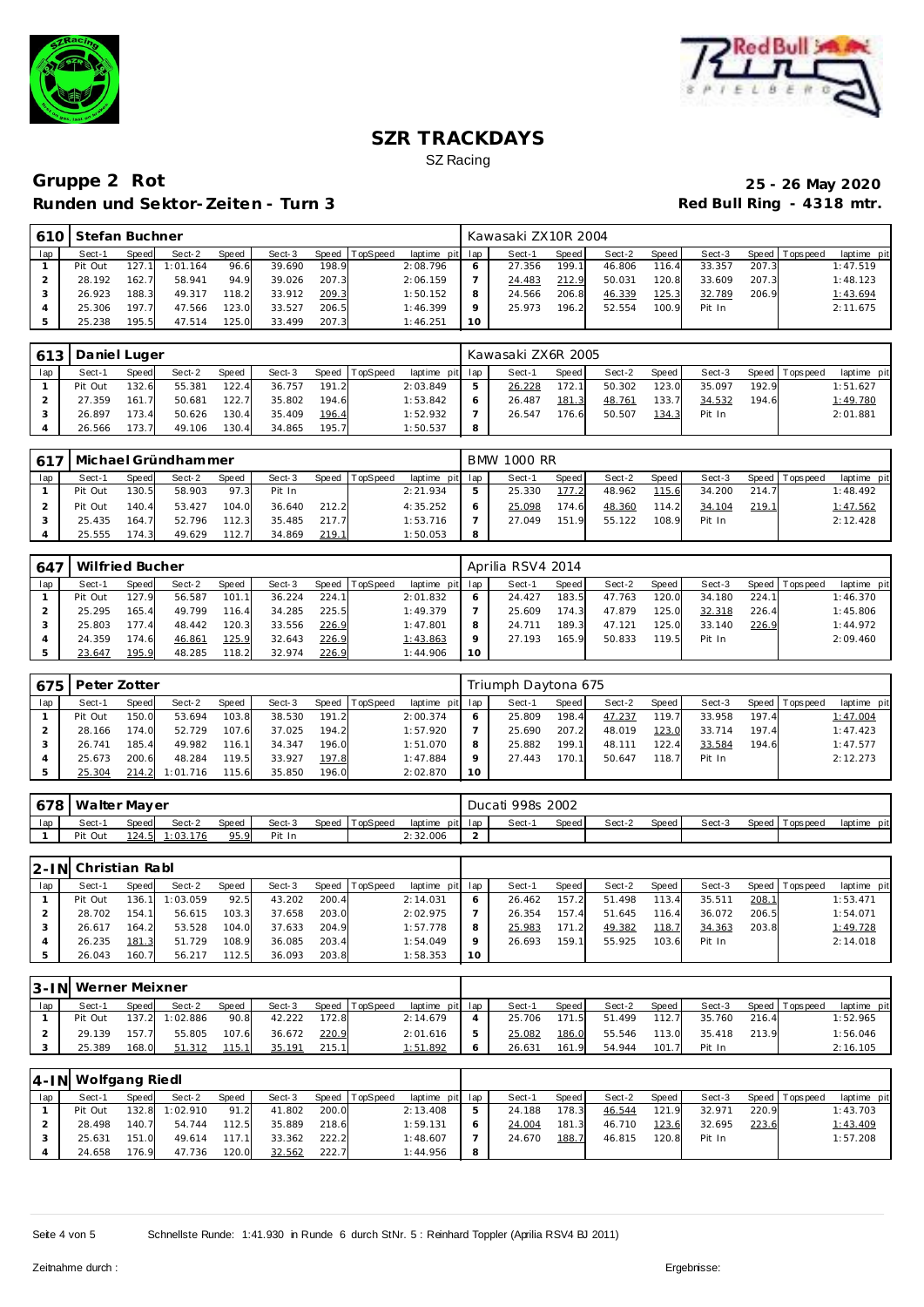



|     | 610 Stefan Buchner |       |          |              |        |       |                  |                 |           | Kawasaki ZX10R 2004 |       |        |       |        |       |                |             |
|-----|--------------------|-------|----------|--------------|--------|-------|------------------|-----------------|-----------|---------------------|-------|--------|-------|--------|-------|----------------|-------------|
| lap | Sect-1             | Speed | Sect-2   | <b>Speed</b> | Sect-3 |       | Speed   TopSpeed | laptime pit lap |           | Sect-1              | Speed | Sect-2 | Speed | Sect-3 |       | Speed Topspeed | laptime pit |
|     | Pit Out            | 127.1 | 1:01.164 | 96.6         | 39.690 | 198.9 |                  | 2:08.796        |           | 27.356              | 199.1 | 46.806 | 116.4 | 33.357 | 207.3 |                | 1:47.519    |
|     | 28.192             | 162.7 | 58.941   | 94.9         | 39.026 | 207.3 |                  | 2:06.159        |           | 24.483              | 212.9 | 50.031 | 120.8 | 33.609 | 207.3 |                | 1:48.123    |
|     | 26.923             | 188.3 | 49.317   | 118.2        | 33.912 | 209.3 |                  | 1:50.152        | 8         | 24.566              | 206.8 | 46.339 | 125.3 | 32.789 | 206.9 |                | 1:43.694    |
|     | 25.306             | 197.7 | 47.566   | 123.0        | 33.527 | 206.5 |                  | 1:46.399        | $\circ$   | 25.973              | 196.2 | 52.554 | 100.9 | Pit In |       |                | 2:11.675    |
|     | 25.238             | 195.5 | 47.514   | 125.0        | 33.499 | 207.3 |                  | 1:46.251        | <b>10</b> |                     |       |        |       |        |       |                |             |

|     | 613   Daniel Luger |       |        |       |        |       |                |                 |   | Kawasaki ZX6R 2005 |       |        |         |        |       |                 |             |
|-----|--------------------|-------|--------|-------|--------|-------|----------------|-----------------|---|--------------------|-------|--------|---------|--------|-------|-----------------|-------------|
| lap | Sect-1             | Speed | Sect-2 | Speed | Sect-3 |       | Speed TopSpeed | laptime pit lap |   | Sect-1             | Speed | Sect-2 | Speed I | Sect-3 |       | Speed Tops peed | laptime pit |
|     | Pit Out            | 132.6 | 55.381 | 122.4 | 36.757 | 191.2 |                | 2:03.849        |   | 26.228             | 172.1 | 50.302 | 123.0   | 35.097 | 192.9 |                 | 1:51.627    |
|     | 27.359             | 161.7 | 50.681 | 122.7 | 35.802 | 194.6 |                | 1:53.842        |   | 26.487             | 181.3 | 48.761 | 133.7   | 34.532 | 194.6 |                 | 1:49.780    |
|     | 26.897             | 173.4 | 50.626 | 130.4 | 35.409 | 196.4 |                | 1:52.932        |   | 26.547             | 176.6 | 50.507 | 134.3   | Pit In |       |                 | 2:01.881    |
|     | 26.566             | 173.7 | 49.106 | 130.4 | 34.865 | 195.7 |                | 1:50.537        | 8 |                    |       |        |         |        |       |                 |             |

|     | 617   Michael Gründhammer |       |        |              |        |       |                |                 |   | <b>BMW 1000 RR</b> |       |        |       |        |       |                 |             |
|-----|---------------------------|-------|--------|--------------|--------|-------|----------------|-----------------|---|--------------------|-------|--------|-------|--------|-------|-----------------|-------------|
| lap | Sect-1                    | Speed | Sect-2 | <b>Speed</b> | Sect-3 |       | Speed TopSpeed | laptime pit lap |   | Sect-1             | Speed | Sect-2 | Speed | Sect-3 |       | Speed Tops peed | laptime pit |
|     | Pit Out                   | 130.5 | 58.903 | 97.3         | Pit In |       |                | 2:21.934        |   | 25.330             | 177.2 | 48.962 | 115.6 | 34.200 | 214.7 |                 | 1:48.492    |
|     | Pit Out                   | 140.4 | 53.427 | 104.0        | 36.640 | 212.2 |                | 4:35.252        |   | 25.098             | 174.6 | 48.360 | 114.2 | 34.104 | 219.1 |                 | 1:47.562    |
|     | 25.435                    | 164.7 | 52.796 | 112.3        | 35.485 | 217.7 |                | 1:53.716        |   | 27.049             | 151.9 | 55.122 | 108.9 | Pit In |       |                 | 2:12.428    |
|     | 25.555                    | '74.3 | 49.629 | 112.7        | 34.869 | 219.1 |                | 1:50.053        | 8 |                    |       |        |       |        |       |                 |             |

| 647 | Wilfried Bucher |       |        |              |        |       |          |                 |    | Aprilia RSV4 2014 |         |        |       |        |       |                 |             |
|-----|-----------------|-------|--------|--------------|--------|-------|----------|-----------------|----|-------------------|---------|--------|-------|--------|-------|-----------------|-------------|
| lap | Sect-1          | Speed | Sect-2 | <b>Speed</b> | Sect-3 | Speed | TopSpeed | laptime pit lap |    | Sect-1            | Speed I | Sect-2 | Speed | Sect-3 |       | Speed Tops peed | laptime pit |
|     | Pit Out         | 127.9 | 56.587 | 101.1        | 36.224 | 224.1 |          | 2:01.832        |    | 24.427            | 183.5   | 47.763 | 120.0 | 34.180 | 224.7 |                 | 1:46.370    |
|     | 25.295          | 165.4 | 49.799 | 116.4        | 34.285 | 225.5 |          | 1:49.379        |    | 25.609            | 174.3   | 47.879 | 125.0 | 32.318 | 226.4 |                 | 1:45.806    |
|     | 25.803          | 177.4 | 48.442 | 120.3        | 33.556 | 226.9 |          | 1:47.801        |    | 24.711            | 189.3   | 47.121 | 125.0 | 33.140 | 226.9 |                 | 1:44.972    |
|     | 24.359          | 174.6 | 46.861 | 125.9        | 32.643 | 226.9 |          | 1:43.863        |    | 27.193            | 165.9   | 50.833 | 119.5 | Pit In |       |                 | 2:09.460    |
|     | 23.647          | 195.9 | 48.285 | 118.2        | 32.974 | 226.9 |          | 1:44.906        | 10 |                   |         |        |       |        |       |                 |             |

| 675 | Peter Zotter |       |          |              |        |       |                |                 |    | Triumph Daytona 675 |       |        |       |        |       |                 |             |
|-----|--------------|-------|----------|--------------|--------|-------|----------------|-----------------|----|---------------------|-------|--------|-------|--------|-------|-----------------|-------------|
| lap | Sect-1       | Speed | Sect-2   | <b>Speed</b> | Sect-3 |       | Speed TopSpeed | laptime pit lap |    | Sect-1              | Speed | Sect-2 | Speed | Sect-3 |       | Speed Tops peed | laptime pit |
|     | Pit Out      | 150.0 | 53.694   | 103.8        | 38.530 | 191.2 |                | 2:00.374        |    | 25.809              | 198.4 | 47.237 | 119.7 | 33.958 | 197.4 |                 | 1:47.004    |
|     | 28.166       | 174.0 | 52.729   | 107.6        | 37.025 | 194.2 |                | 1:57.920        |    | 25.690              | 207.2 | 48.019 | 123.0 | 33.714 | 197.4 |                 | 1:47.423    |
|     | 26.741       | 185.4 | 49.982   | 116.1        | 34.347 | 196.0 |                | 1:51.070        |    | 25.882              | 199.1 | 48.111 | 122.4 | 33.584 | 194.6 |                 | 1:47.577    |
|     | 25.673       | 200.6 | 48.284   | 119.5        | 33.927 | 197.8 |                | 1:47.884        |    | 27.443              | 170.1 | 50.647 | 118.7 | Pit In |       |                 | 2:12.273    |
|     | 25.304       | 214.2 | 1:01.716 | 115.6        | 35.850 | 196.0 |                | 2:02.870        | 10 |                     |       |        |       |        |       |                 |             |

| 678 | Walter Mayer |       |                |       |        |                |                 |        | Ducati 998s 2002 |       |        |       |        |                 |             |
|-----|--------------|-------|----------------|-------|--------|----------------|-----------------|--------|------------------|-------|--------|-------|--------|-----------------|-------------|
| lap | Sect-1       | Speed | Sect-2         | Speed | Sect-3 | Speed TopSpeed | laptime pit lap |        | Sect-            | Speed | Sect-2 | Speed | Sect-3 | Speed Tops peed | laptime pit |
|     | Pit Out      |       | 124.5 1:03.176 | 95.9  | Pit In |                | 2:32.006        | $\sim$ |                  |       |        |       |        |                 |             |

|     | 2-IN Christian Rabl |              |          |       |        |       |                |                 |    |        |       |        |       |        |       |                 |             |
|-----|---------------------|--------------|----------|-------|--------|-------|----------------|-----------------|----|--------|-------|--------|-------|--------|-------|-----------------|-------------|
| lap | Sect-1              | <b>Speed</b> | Sect-2   | Speed | Sect-3 |       | Speed TopSpeed | laptime pit lap |    | Sect-1 | Speed | Sect-2 | Speed | Sect-3 |       | Speed Tops peed | laptime pit |
|     | Pit Out             | 136.1        | 1:03.059 | 92.5  | 43.202 | 200.4 |                | 2:14.031        |    | 26.462 | 157.2 | 51.498 | 113.4 | 35.511 | 208.1 |                 | 1:53.471    |
|     | 28.702              | 154.1        | 56.615   | 103.3 | 37.658 | 203.0 |                | 2:02.975        |    | 26.354 | 157.4 | 51.645 | 116.4 | 36.072 | 206.5 |                 | 1:54.071    |
|     | 26.617              | 164.2        | 53.528   | 104.0 | 37.633 | 204.9 |                | 1:57.778        |    | 25.983 | 171.2 | 49.382 | 118.7 | 34.363 | 203.8 |                 | 1:49.728    |
|     | 26.235              | 181.3        | 51.729   | 108.9 | 36.085 | 203.4 |                | 1:54.049        |    | 26.693 | 159.1 | 55.925 | 103.6 | Pit In |       |                 | 2:14.018    |
|     | 26.043              | 160.7        | 56.217   | 112.5 | 36.093 | 203.8 |                | 1:58.353        | 10 |        |       |        |       |        |       |                 |             |

|     | 3-IN Werner Meixner |              |          |              |        |       |          |                 |  |        |         |        |       |        |       |                   |             |
|-----|---------------------|--------------|----------|--------------|--------|-------|----------|-----------------|--|--------|---------|--------|-------|--------|-------|-------------------|-------------|
| lap | Sect-1              | <b>Speed</b> | Sect-2   | <b>Speed</b> | Sect-3 | Speed | TopSpeed | laptime pit lap |  | Sect-1 | Speed I | Sect-2 | Speed | Sect-3 |       | Speed   Tops peed | laptime pit |
|     | Pit Out             | 137.2        | 1:02.886 | 90.8         | 42.222 | 172.8 |          | 2:14.679        |  | 25.706 | 171.5   | 51.499 | 112.7 | 35.760 | 216.4 |                   | 1:52.965    |
|     | 29.139              | 157.7        | 55.805   | 107.6        | 36.672 | 220.9 |          | 2:01.616        |  | 25.082 | 186.0   | 55.546 | 113.0 | 35.418 | 213.9 |                   | 1:56.046    |
|     | 25.389              | 168.0        | 51.312   | 115.1        | 35.191 | 215.1 |          | 1:51.892        |  | 26.631 | 161.9   | 54.944 | 101.7 | Pit In |       |                   | 2:16.105    |

|     | 4-IN Wolfgang Riedl |       |                |       |        |       |                |                 |  |        |                    |        |         |        |       |                 |             |
|-----|---------------------|-------|----------------|-------|--------|-------|----------------|-----------------|--|--------|--------------------|--------|---------|--------|-------|-----------------|-------------|
| lap | Sect-1              | Speed | Sect-2         | Speed | Sect-3 |       | Speed TopSpeed | laptime pit lap |  | Sect-1 | Speed              | Sect-2 | Speed I | Sect-3 |       | Speed Tops peed | laptime pit |
|     | Pit Out             |       | 132.8 1:02.910 | 91.2  | 41.802 | 200.0 |                | 2:13.408        |  | 24.188 | 178.3 <sub>1</sub> | 46.544 | 121.9   | 32.971 | 220.9 |                 | 1:43.703    |
|     | 28.498              | 140.7 | 54.744         | 112.5 | 35.889 | 218.6 |                | 1:59.131        |  | 24.004 | 181.3              | 46.710 | 123.6   | 32.695 | 223.6 |                 | 1:43.409    |
|     | 25.631              | 151.0 | 49.614         | 117.1 | 33.362 | 222.2 |                | 1:48.607        |  | 24.670 | 188.7              | 46.815 | 20.8    | Pit In |       |                 | 1:57.208    |
|     | 24.658              | 176.9 | 47.736         | 120.0 | 32.562 | 222.7 |                | 1:44.956        |  |        |                    |        |         |        |       |                 |             |